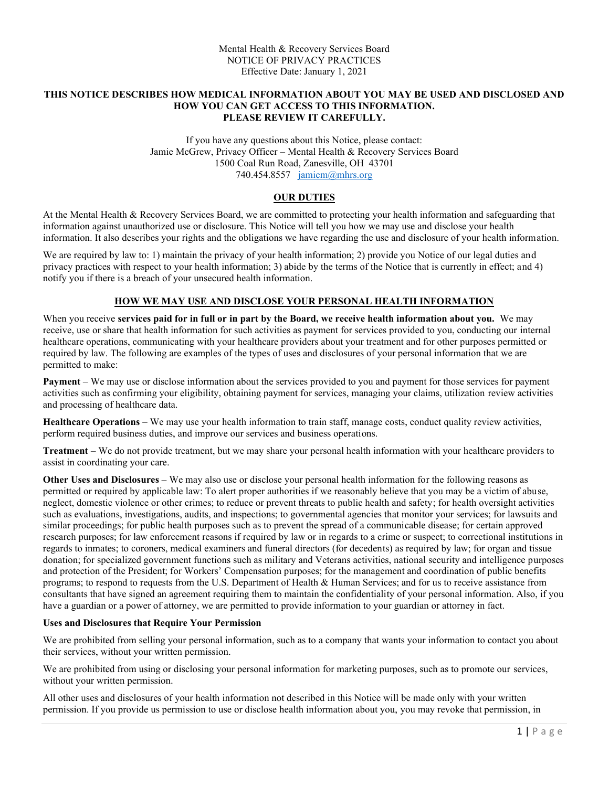#### **THIS NOTICE DESCRIBES HOW MEDICAL INFORMATION ABOUT YOU MAY BE USED AND DISCLOSED AND HOW YOU CAN GET ACCESS TO THIS INFORMATION. PLEASE REVIEW IT CAREFULLY.**

If you have any questions about this Notice, please contact: Jamie McGrew, Privacy Officer – Mental Health & Recovery Services Board 1500 Coal Run Road, Zanesville, OH 43701 740.454.8557 [jamiem@mhrs.org](mailto:jamiem@mhrs.org)

## **OUR DUTIES**

At the Mental Health & Recovery Services Board, we are committed to protecting your health information and safeguarding that information against unauthorized use or disclosure. This Notice will tell you how we may use and disclose your health information. It also describes your rights and the obligations we have regarding the use and disclosure of your health information.

We are required by law to: 1) maintain the privacy of your health information; 2) provide you Notice of our legal duties and privacy practices with respect to your health information; 3) abide by the terms of the Notice that is currently in effect; and 4) notify you if there is a breach of your unsecured health information.

## **HOW WE MAY USE AND DISCLOSE YOUR PERSONAL HEALTH INFORMATION**

When you receive **services paid for in full or in part by the Board, we receive health information about you.** We may receive, use or share that health information for such activities as payment for services provided to you, conducting our internal healthcare operations, communicating with your healthcare providers about your treatment and for other purposes permitted or required by law. The following are examples of the types of uses and disclosures of your personal information that we are permitted to make:

**Payment** – We may use or disclose information about the services provided to you and payment for those services for payment activities such as confirming your eligibility, obtaining payment for services, managing your claims, utilization review activities and processing of healthcare data.

**Healthcare Operations** – We may use your health information to train staff, manage costs, conduct quality review activities, perform required business duties, and improve our services and business operations.

**Treatment** – We do not provide treatment, but we may share your personal health information with your healthcare providers to assist in coordinating your care.

**Other Uses and Disclosures** – We may also use or disclose your personal health information for the following reasons as permitted or required by applicable law: To alert proper authorities if we reasonably believe that you may be a victim of abuse, neglect, domestic violence or other crimes; to reduce or prevent threats to public health and safety; for health oversight activities such as evaluations, investigations, audits, and inspections; to governmental agencies that monitor your services; for lawsuits and similar proceedings; for public health purposes such as to prevent the spread of a communicable disease; for certain approved research purposes; for law enforcement reasons if required by law or in regards to a crime or suspect; to correctional institutions in regards to inmates; to coroners, medical examiners and funeral directors (for decedents) as required by law; for organ and tissue donation; for specialized government functions such as military and Veterans activities, national security and intelligence purposes and protection of the President; for Workers' Compensation purposes; for the management and coordination of public benefits programs; to respond to requests from the U.S. Department of Health & Human Services; and for us to receive assistance from consultants that have signed an agreement requiring them to maintain the confidentiality of your personal information. Also, if you have a guardian or a power of attorney, we are permitted to provide information to your guardian or attorney in fact.

#### **Uses and Disclosures that Require Your Permission**

We are prohibited from selling your personal information, such as to a company that wants your information to contact you about their services, without your written permission.

We are prohibited from using or disclosing your personal information for marketing purposes, such as to promote our services, without your written permission.

All other uses and disclosures of your health information not described in this Notice will be made only with your written permission. If you provide us permission to use or disclose health information about you, you may revoke that permission, in